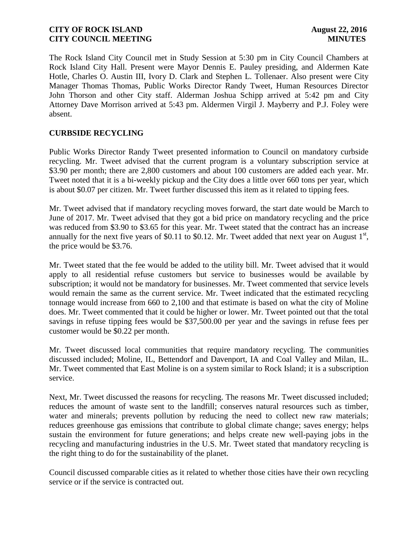The Rock Island City Council met in Study Session at 5:30 pm in City Council Chambers at Rock Island City Hall. Present were Mayor Dennis E. Pauley presiding, and Aldermen Kate Hotle, Charles O. Austin III, Ivory D. Clark and Stephen L. Tollenaer. Also present were City Manager Thomas Thomas, Public Works Director Randy Tweet, Human Resources Director John Thorson and other City staff. Alderman Joshua Schipp arrived at 5:42 pm and City Attorney Dave Morrison arrived at 5:43 pm. Aldermen Virgil J. Mayberry and P.J. Foley were absent.

## **CURBSIDE RECYCLING**

Public Works Director Randy Tweet presented information to Council on mandatory curbside recycling. Mr. Tweet advised that the current program is a voluntary subscription service at \$3.90 per month; there are 2,800 customers and about 100 customers are added each year. Mr. Tweet noted that it is a bi-weekly pickup and the City does a little over 660 tons per year, which is about \$0.07 per citizen. Mr. Tweet further discussed this item as it related to tipping fees.

Mr. Tweet advised that if mandatory recycling moves forward, the start date would be March to June of 2017. Mr. Tweet advised that they got a bid price on mandatory recycling and the price was reduced from \$3.90 to \$3.65 for this year. Mr. Tweet stated that the contract has an increase annually for the next five years of \$0.11 to \$0.12. Mr. Tweet added that next year on August  $1<sup>st</sup>$ , the price would be \$3.76.

Mr. Tweet stated that the fee would be added to the utility bill. Mr. Tweet advised that it would apply to all residential refuse customers but service to businesses would be available by subscription; it would not be mandatory for businesses. Mr. Tweet commented that service levels would remain the same as the current service. Mr. Tweet indicated that the estimated recycling tonnage would increase from 660 to 2,100 and that estimate is based on what the city of Moline does. Mr. Tweet commented that it could be higher or lower. Mr. Tweet pointed out that the total savings in refuse tipping fees would be \$37,500.00 per year and the savings in refuse fees per customer would be \$0.22 per month.

Mr. Tweet discussed local communities that require mandatory recycling. The communities discussed included; Moline, IL, Bettendorf and Davenport, IA and Coal Valley and Milan, IL. Mr. Tweet commented that East Moline is on a system similar to Rock Island; it is a subscription service.

Next, Mr. Tweet discussed the reasons for recycling. The reasons Mr. Tweet discussed included; reduces the amount of waste sent to the landfill; conserves natural resources such as timber, water and minerals; prevents pollution by reducing the need to collect new raw materials; reduces greenhouse gas emissions that contribute to global climate change; saves energy; helps sustain the environment for future generations; and helps create new well-paying jobs in the recycling and manufacturing industries in the U.S. Mr. Tweet stated that mandatory recycling is the right thing to do for the sustainability of the planet.

Council discussed comparable cities as it related to whether those cities have their own recycling service or if the service is contracted out.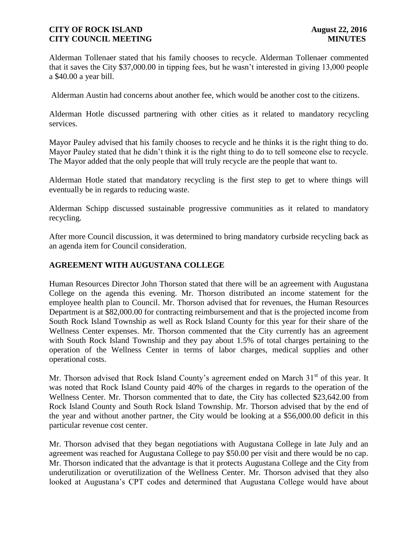Alderman Tollenaer stated that his family chooses to recycle. Alderman Tollenaer commented that it saves the City \$37,000.00 in tipping fees, but he wasn't interested in giving 13,000 people a \$40.00 a year bill.

Alderman Austin had concerns about another fee, which would be another cost to the citizens.

Alderman Hotle discussed partnering with other cities as it related to mandatory recycling services.

Mayor Pauley advised that his family chooses to recycle and he thinks it is the right thing to do. Mayor Pauley stated that he didn't think it is the right thing to do to tell someone else to recycle. The Mayor added that the only people that will truly recycle are the people that want to.

Alderman Hotle stated that mandatory recycling is the first step to get to where things will eventually be in regards to reducing waste.

Alderman Schipp discussed sustainable progressive communities as it related to mandatory recycling.

After more Council discussion, it was determined to bring mandatory curbside recycling back as an agenda item for Council consideration.

# **AGREEMENT WITH AUGUSTANA COLLEGE**

Human Resources Director John Thorson stated that there will be an agreement with Augustana College on the agenda this evening. Mr. Thorson distributed an income statement for the employee health plan to Council. Mr. Thorson advised that for revenues, the Human Resources Department is at \$82,000.00 for contracting reimbursement and that is the projected income from South Rock Island Township as well as Rock Island County for this year for their share of the Wellness Center expenses. Mr. Thorson commented that the City currently has an agreement with South Rock Island Township and they pay about 1.5% of total charges pertaining to the operation of the Wellness Center in terms of labor charges, medical supplies and other operational costs.

Mr. Thorson advised that Rock Island County's agreement ended on March  $31<sup>st</sup>$  of this year. It was noted that Rock Island County paid 40% of the charges in regards to the operation of the Wellness Center. Mr. Thorson commented that to date, the City has collected \$23,642.00 from Rock Island County and South Rock Island Township. Mr. Thorson advised that by the end of the year and without another partner, the City would be looking at a \$56,000.00 deficit in this particular revenue cost center.

Mr. Thorson advised that they began negotiations with Augustana College in late July and an agreement was reached for Augustana College to pay \$50.00 per visit and there would be no cap. Mr. Thorson indicated that the advantage is that it protects Augustana College and the City from underutilization or overutilization of the Wellness Center. Mr. Thorson advised that they also looked at Augustana's CPT codes and determined that Augustana College would have about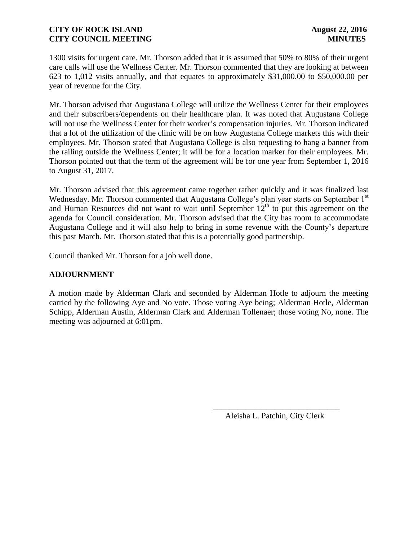1300 visits for urgent care. Mr. Thorson added that it is assumed that 50% to 80% of their urgent care calls will use the Wellness Center. Mr. Thorson commented that they are looking at between 623 to 1,012 visits annually, and that equates to approximately \$31,000.00 to \$50,000.00 per year of revenue for the City.

Mr. Thorson advised that Augustana College will utilize the Wellness Center for their employees and their subscribers/dependents on their healthcare plan. It was noted that Augustana College will not use the Wellness Center for their worker's compensation injuries. Mr. Thorson indicated that a lot of the utilization of the clinic will be on how Augustana College markets this with their employees. Mr. Thorson stated that Augustana College is also requesting to hang a banner from the railing outside the Wellness Center; it will be for a location marker for their employees. Mr. Thorson pointed out that the term of the agreement will be for one year from September 1, 2016 to August 31, 2017.

Mr. Thorson advised that this agreement came together rather quickly and it was finalized last Wednesday. Mr. Thorson commented that Augustana College's plan year starts on September 1<sup>st</sup> and Human Resources did not want to wait until September  $12<sup>th</sup>$  to put this agreement on the agenda for Council consideration. Mr. Thorson advised that the City has room to accommodate Augustana College and it will also help to bring in some revenue with the County's departure this past March. Mr. Thorson stated that this is a potentially good partnership.

Council thanked Mr. Thorson for a job well done.

# **ADJOURNMENT**

A motion made by Alderman Clark and seconded by Alderman Hotle to adjourn the meeting carried by the following Aye and No vote. Those voting Aye being; Alderman Hotle, Alderman Schipp, Alderman Austin, Alderman Clark and Alderman Tollenaer; those voting No, none. The meeting was adjourned at 6:01pm.

 $\overline{\phantom{a}}$  , and the contract of the contract of the contract of the contract of the contract of the contract of the contract of the contract of the contract of the contract of the contract of the contract of the contrac

Aleisha L. Patchin, City Clerk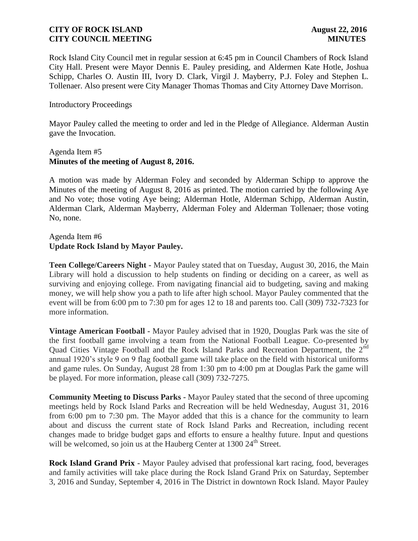Rock Island City Council met in regular session at 6:45 pm in Council Chambers of Rock Island City Hall. Present were Mayor Dennis E. Pauley presiding, and Aldermen Kate Hotle, Joshua Schipp, Charles O. Austin III, Ivory D. Clark, Virgil J. Mayberry, P.J. Foley and Stephen L. Tollenaer. Also present were City Manager Thomas Thomas and City Attorney Dave Morrison.

### Introductory Proceedings

Mayor Pauley called the meeting to order and led in the Pledge of Allegiance. Alderman Austin gave the Invocation.

#### Agenda Item #5 **Minutes of the meeting of August 8, 2016.**

A motion was made by Alderman Foley and seconded by Alderman Schipp to approve the Minutes of the meeting of August 8, 2016 as printed. The motion carried by the following Aye and No vote; those voting Aye being; Alderman Hotle, Alderman Schipp, Alderman Austin, Alderman Clark, Alderman Mayberry, Alderman Foley and Alderman Tollenaer; those voting No, none.

### Agenda Item #6 **Update Rock Island by Mayor Pauley.**

**Teen College/Careers Night -** Mayor Pauley stated that on Tuesday, August 30, 2016, the Main Library will hold a discussion to help students on finding or deciding on a career, as well as surviving and enjoying college. From navigating financial aid to budgeting, saving and making money, we will help show you a path to life after high school. Mayor Pauley commented that the event will be from 6:00 pm to 7:30 pm for ages 12 to 18 and parents too. Call (309) 732-7323 for more information.

**Vintage American Football -** Mayor Pauley advised that in 1920, Douglas Park was the site of the first football game involving a team from the National Football League. Co-presented by Quad Cities Vintage Football and the Rock Island Parks and Recreation Department, the 2<sup>nd</sup> annual 1920's style 9 on 9 flag football game will take place on the field with historical uniforms and game rules. On Sunday, August 28 from 1:30 pm to 4:00 pm at Douglas Park the game will be played. For more information, please call (309) 732-7275.

**Community Meeting to Discuss Parks -** Mayor Pauley stated that the second of three upcoming meetings held by Rock Island Parks and Recreation will be held Wednesday, August 31, 2016 from 6:00 pm to 7:30 pm. The Mayor added that this is a chance for the community to learn about and discuss the current state of Rock Island Parks and Recreation, including recent changes made to bridge budget gaps and efforts to ensure a healthy future. Input and questions will be welcomed, so join us at the Hauberg Center at 1300 24<sup>th</sup> Street.

**Rock Island Grand Prix -** Mayor Pauley advised that professional kart racing, food, beverages and family activities will take place during the Rock Island Grand Prix on Saturday, September 3, 2016 and Sunday, September 4, 2016 in The District in downtown Rock Island. Mayor Pauley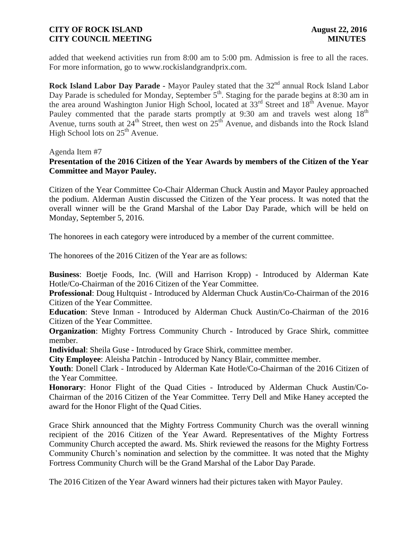added that weekend activities run from 8:00 am to 5:00 pm. Admission is free to all the races. For more information, go to www.rockislandgrandprix.com.

**Rock Island Labor Day Parade -** Mayor Pauley stated that the 32<sup>nd</sup> annual Rock Island Labor Day Parade is scheduled for Monday, September 5<sup>th</sup>. Staging for the parade begins at 8:30 am in the area around Washington Junior High School, located at 33<sup>rd</sup> Street and 18<sup>th</sup> Avenue. Mayor Pauley commented that the parade starts promptly at 9:30 am and travels west along 18<sup>th</sup> Avenue, turns south at  $24^{th}$  Street, then west on  $25^{th}$  Avenue, and disbands into the Rock Island High School lots on 25<sup>th</sup> Avenue.

Agenda Item #7

# **Presentation of the 2016 Citizen of the Year Awards by members of the Citizen of the Year Committee and Mayor Pauley.**

Citizen of the Year Committee Co-Chair Alderman Chuck Austin and Mayor Pauley approached the podium. Alderman Austin discussed the Citizen of the Year process. It was noted that the overall winner will be the Grand Marshal of the Labor Day Parade, which will be held on Monday, September 5, 2016.

The honorees in each category were introduced by a member of the current committee.

The honorees of the 2016 Citizen of the Year are as follows:

**Business**: Boetje Foods, Inc. (Will and Harrison Kropp) - Introduced by Alderman Kate Hotle/Co-Chairman of the 2016 Citizen of the Year Committee.

**Professional**: Doug Hultquist - Introduced by Alderman Chuck Austin/Co-Chairman of the 2016 Citizen of the Year Committee.

**Education**: Steve Inman - Introduced by Alderman Chuck Austin/Co-Chairman of the 2016 Citizen of the Year Committee.

**Organization**: Mighty Fortress Community Church - Introduced by Grace Shirk, committee member.

**Individual**: Sheila Guse - Introduced by Grace Shirk, committee member.

**City Employee**: Aleisha Patchin - Introduced by Nancy Blair, committee member.

**Youth**: Donell Clark - Introduced by Alderman Kate Hotle/Co-Chairman of the 2016 Citizen of the Year Committee.

**Honorary**: Honor Flight of the Quad Cities - Introduced by Alderman Chuck Austin/Co-Chairman of the 2016 Citizen of the Year Committee. Terry Dell and Mike Haney accepted the award for the Honor Flight of the Quad Cities.

Grace Shirk announced that the Mighty Fortress Community Church was the overall winning recipient of the 2016 Citizen of the Year Award. Representatives of the Mighty Fortress Community Church accepted the award. Ms. Shirk reviewed the reasons for the Mighty Fortress Community Church's nomination and selection by the committee. It was noted that the Mighty Fortress Community Church will be the Grand Marshal of the Labor Day Parade.

The 2016 Citizen of the Year Award winners had their pictures taken with Mayor Pauley.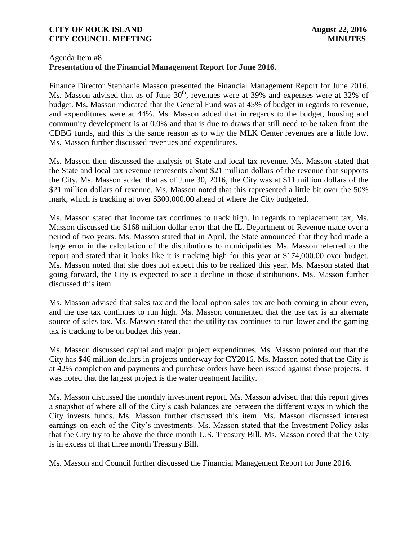### Agenda Item #8 **Presentation of the Financial Management Report for June 2016.**

Finance Director Stephanie Masson presented the Financial Management Report for June 2016. Ms. Masson advised that as of June  $30<sup>th</sup>$ , revenues were at 39% and expenses were at 32% of budget. Ms. Masson indicated that the General Fund was at 45% of budget in regards to revenue, and expenditures were at 44%. Ms. Masson added that in regards to the budget, housing and community development is at 0.0% and that is due to draws that still need to be taken from the CDBG funds, and this is the same reason as to why the MLK Center revenues are a little low. Ms. Masson further discussed revenues and expenditures.

Ms. Masson then discussed the analysis of State and local tax revenue. Ms. Masson stated that the State and local tax revenue represents about \$21 million dollars of the revenue that supports the City. Ms. Masson added that as of June 30, 2016, the City was at \$11 million dollars of the \$21 million dollars of revenue. Ms. Masson noted that this represented a little bit over the 50% mark, which is tracking at over \$300,000.00 ahead of where the City budgeted.

Ms. Masson stated that income tax continues to track high. In regards to replacement tax, Ms. Masson discussed the \$168 million dollar error that the IL. Department of Revenue made over a period of two years. Ms. Masson stated that in April, the State announced that they had made a large error in the calculation of the distributions to municipalities. Ms. Masson referred to the report and stated that it looks like it is tracking high for this year at \$174,000.00 over budget. Ms. Masson noted that she does not expect this to be realized this year. Ms. Masson stated that going forward, the City is expected to see a decline in those distributions. Ms. Masson further discussed this item.

Ms. Masson advised that sales tax and the local option sales tax are both coming in about even, and the use tax continues to run high. Ms. Masson commented that the use tax is an alternate source of sales tax. Ms. Masson stated that the utility tax continues to run lower and the gaming tax is tracking to be on budget this year.

Ms. Masson discussed capital and major project expenditures. Ms. Masson pointed out that the City has \$46 million dollars in projects underway for CY2016. Ms. Masson noted that the City is at 42% completion and payments and purchase orders have been issued against those projects. It was noted that the largest project is the water treatment facility.

Ms. Masson discussed the monthly investment report. Ms. Masson advised that this report gives a snapshot of where all of the City's cash balances are between the different ways in which the City invests funds. Ms. Masson further discussed this item. Ms. Masson discussed interest earnings on each of the City's investments. Ms. Masson stated that the Investment Policy asks that the City try to be above the three month U.S. Treasury Bill. Ms. Masson noted that the City is in excess of that three month Treasury Bill.

Ms. Masson and Council further discussed the Financial Management Report for June 2016.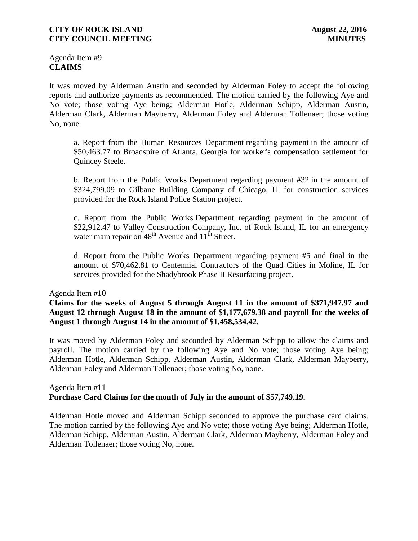Agenda Item #9 **CLAIMS**

It was moved by Alderman Austin and seconded by Alderman Foley to accept the following reports and authorize payments as recommended. The motion carried by the following Aye and No vote; those voting Aye being; Alderman Hotle, Alderman Schipp, Alderman Austin, Alderman Clark, Alderman Mayberry, Alderman Foley and Alderman Tollenaer; those voting No, none.

a. Report from the Human Resources Department regarding payment in the amount of \$50,463.77 to Broadspire of Atlanta, Georgia for worker's compensation settlement for Quincey Steele.

b. Report from the Public Works Department regarding payment #32 in the amount of \$324,799.09 to Gilbane Building Company of Chicago, IL for construction services provided for the Rock Island Police Station project.

c. Report from the Public Works Department regarding payment in the amount of \$22,912.47 to Valley Construction Company, Inc. of Rock Island, IL for an emergency water main repair on  $48<sup>th</sup>$  Avenue and  $11<sup>th</sup>$  Street.

d. Report from the Public Works Department regarding payment #5 and final in the amount of \$70,462.81 to Centennial Contractors of the Quad Cities in Moline, IL for services provided for the Shadybrook Phase II Resurfacing project.

Agenda Item #10

**Claims for the weeks of August 5 through August 11 in the amount of \$371,947.97 and August 12 through August 18 in the amount of \$1,177,679.38 and payroll for the weeks of August 1 through August 14 in the amount of \$1,458,534.42.** 

It was moved by Alderman Foley and seconded by Alderman Schipp to allow the claims and payroll. The motion carried by the following Aye and No vote; those voting Aye being; Alderman Hotle, Alderman Schipp, Alderman Austin, Alderman Clark, Alderman Mayberry, Alderman Foley and Alderman Tollenaer; those voting No, none.

### Agenda Item #11 **Purchase Card Claims for the month of July in the amount of \$57,749.19.**

Alderman Hotle moved and Alderman Schipp seconded to approve the purchase card claims. The motion carried by the following Aye and No vote; those voting Aye being; Alderman Hotle, Alderman Schipp, Alderman Austin, Alderman Clark, Alderman Mayberry, Alderman Foley and Alderman Tollenaer; those voting No, none.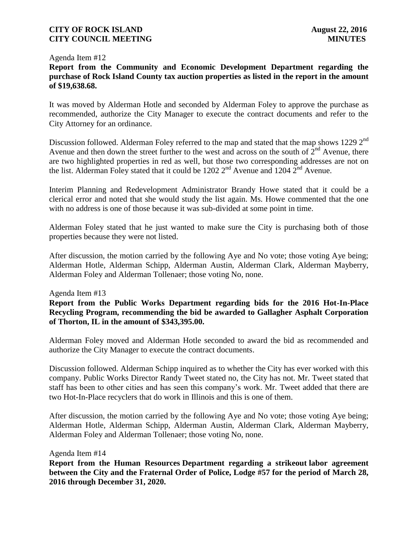#### Agenda Item #12

## **Report from the Community and Economic Development Department regarding the purchase of Rock Island County tax auction properties as listed in the report in the amount of \$19,638.68.**

It was moved by Alderman Hotle and seconded by Alderman Foley to approve the purchase as recommended, authorize the City Manager to execute the contract documents and refer to the City Attorney for an ordinance.

Discussion followed. Alderman Foley referred to the map and stated that the map shows 1229 2<sup>nd</sup> Avenue and then down the street further to the west and across on the south of  $2<sup>nd</sup>$  Avenue, there are two highlighted properties in red as well, but those two corresponding addresses are not on the list. Alderman Foley stated that it could be 1202  $2^{nd}$  Avenue and 1204  $2^{nd}$  Avenue.

Interim Planning and Redevelopment Administrator Brandy Howe stated that it could be a clerical error and noted that she would study the list again. Ms. Howe commented that the one with no address is one of those because it was sub-divided at some point in time.

Alderman Foley stated that he just wanted to make sure the City is purchasing both of those properties because they were not listed.

After discussion, the motion carried by the following Aye and No vote; those voting Aye being; Alderman Hotle, Alderman Schipp, Alderman Austin, Alderman Clark, Alderman Mayberry, Alderman Foley and Alderman Tollenaer; those voting No, none.

#### Agenda Item #13

**Report from the Public Works Department regarding bids for the 2016 Hot-In-Place Recycling Program, recommending the bid be awarded to Gallagher Asphalt Corporation of Thorton, IL in the amount of \$343,395.00.**

Alderman Foley moved and Alderman Hotle seconded to award the bid as recommended and authorize the City Manager to execute the contract documents.

Discussion followed. Alderman Schipp inquired as to whether the City has ever worked with this company. Public Works Director Randy Tweet stated no, the City has not. Mr. Tweet stated that staff has been to other cities and has seen this company's work. Mr. Tweet added that there are two Hot-In-Place recyclers that do work in Illinois and this is one of them.

After discussion, the motion carried by the following Aye and No vote; those voting Aye being; Alderman Hotle, Alderman Schipp, Alderman Austin, Alderman Clark, Alderman Mayberry, Alderman Foley and Alderman Tollenaer; those voting No, none.

#### Agenda Item #14

**Report from the Human Resources Department regarding a strikeout labor agreement between the City and the Fraternal Order of Police, Lodge #57 for the period of March 28, 2016 through December 31, 2020.**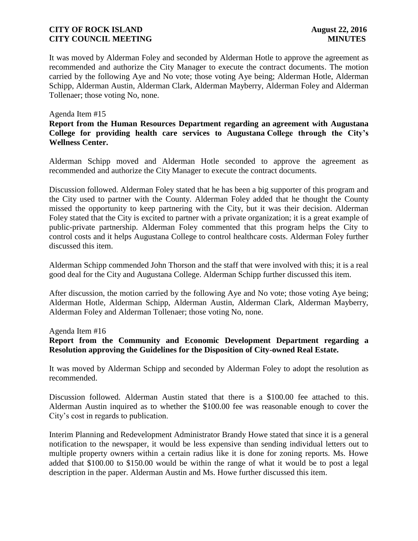It was moved by Alderman Foley and seconded by Alderman Hotle to approve the agreement as recommended and authorize the City Manager to execute the contract documents. The motion carried by the following Aye and No vote; those voting Aye being; Alderman Hotle, Alderman Schipp, Alderman Austin, Alderman Clark, Alderman Mayberry, Alderman Foley and Alderman Tollenaer; those voting No, none.

#### Agenda Item #15

## **Report from the Human Resources Department regarding an agreement with Augustana College for providing health care services to Augustana College through the City's Wellness Center.**

Alderman Schipp moved and Alderman Hotle seconded to approve the agreement as recommended and authorize the City Manager to execute the contract documents.

Discussion followed. Alderman Foley stated that he has been a big supporter of this program and the City used to partner with the County. Alderman Foley added that he thought the County missed the opportunity to keep partnering with the City, but it was their decision. Alderman Foley stated that the City is excited to partner with a private organization; it is a great example of public-private partnership. Alderman Foley commented that this program helps the City to control costs and it helps Augustana College to control healthcare costs. Alderman Foley further discussed this item.

Alderman Schipp commended John Thorson and the staff that were involved with this; it is a real good deal for the City and Augustana College. Alderman Schipp further discussed this item.

After discussion, the motion carried by the following Aye and No vote; those voting Aye being; Alderman Hotle, Alderman Schipp, Alderman Austin, Alderman Clark, Alderman Mayberry, Alderman Foley and Alderman Tollenaer; those voting No, none.

#### Agenda Item #16

**Report from the Community and Economic Development Department regarding a Resolution approving the Guidelines for the Disposition of City-owned Real Estate.**

It was moved by Alderman Schipp and seconded by Alderman Foley to adopt the resolution as recommended.

Discussion followed. Alderman Austin stated that there is a \$100.00 fee attached to this. Alderman Austin inquired as to whether the \$100.00 fee was reasonable enough to cover the City's cost in regards to publication.

Interim Planning and Redevelopment Administrator Brandy Howe stated that since it is a general notification to the newspaper, it would be less expensive than sending individual letters out to multiple property owners within a certain radius like it is done for zoning reports. Ms. Howe added that \$100.00 to \$150.00 would be within the range of what it would be to post a legal description in the paper. Alderman Austin and Ms. Howe further discussed this item.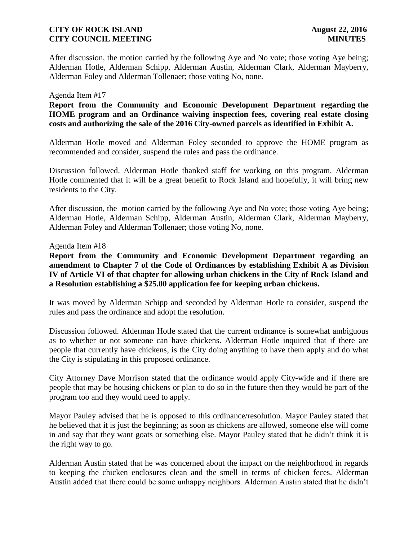After discussion, the motion carried by the following Aye and No vote; those voting Aye being; Alderman Hotle, Alderman Schipp, Alderman Austin, Alderman Clark, Alderman Mayberry, Alderman Foley and Alderman Tollenaer; those voting No, none.

#### Agenda Item #17

**Report from the Community and Economic Development Department regarding the HOME program and an Ordinance waiving inspection fees, covering real estate closing costs and authorizing the sale of the 2016 City-owned parcels as identified in Exhibit A.**

Alderman Hotle moved and Alderman Foley seconded to approve the HOME program as recommended and consider, suspend the rules and pass the ordinance.

Discussion followed. Alderman Hotle thanked staff for working on this program. Alderman Hotle commented that it will be a great benefit to Rock Island and hopefully, it will bring new residents to the City.

After discussion, the motion carried by the following Aye and No vote; those voting Aye being; Alderman Hotle, Alderman Schipp, Alderman Austin, Alderman Clark, Alderman Mayberry, Alderman Foley and Alderman Tollenaer; those voting No, none.

#### Agenda Item #18

**Report from the Community and Economic Development Department regarding an amendment to Chapter 7 of the Code of Ordinances by establishing Exhibit A as Division IV of Article VI of that chapter for allowing urban chickens in the City of Rock Island and a Resolution establishing a \$25.00 application fee for keeping urban chickens.**

It was moved by Alderman Schipp and seconded by Alderman Hotle to consider, suspend the rules and pass the ordinance and adopt the resolution.

Discussion followed. Alderman Hotle stated that the current ordinance is somewhat ambiguous as to whether or not someone can have chickens. Alderman Hotle inquired that if there are people that currently have chickens, is the City doing anything to have them apply and do what the City is stipulating in this proposed ordinance.

City Attorney Dave Morrison stated that the ordinance would apply City-wide and if there are people that may be housing chickens or plan to do so in the future then they would be part of the program too and they would need to apply.

Mayor Pauley advised that he is opposed to this ordinance/resolution. Mayor Pauley stated that he believed that it is just the beginning; as soon as chickens are allowed, someone else will come in and say that they want goats or something else. Mayor Pauley stated that he didn't think it is the right way to go.

Alderman Austin stated that he was concerned about the impact on the neighborhood in regards to keeping the chicken enclosures clean and the smell in terms of chicken feces. Alderman Austin added that there could be some unhappy neighbors. Alderman Austin stated that he didn't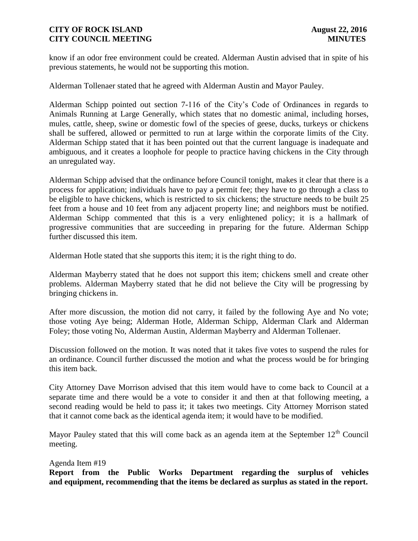know if an odor free environment could be created. Alderman Austin advised that in spite of his previous statements, he would not be supporting this motion.

Alderman Tollenaer stated that he agreed with Alderman Austin and Mayor Pauley.

Alderman Schipp pointed out section 7-116 of the City's Code of Ordinances in regards to Animals Running at Large Generally, which states that no domestic animal, including horses, mules, cattle, sheep, swine or domestic fowl of the species of geese, ducks, turkeys or chickens shall be suffered, allowed or permitted to run at large within the corporate limits of the City. Alderman Schipp stated that it has been pointed out that the current language is inadequate and ambiguous, and it creates a loophole for people to practice having chickens in the City through an unregulated way.

Alderman Schipp advised that the ordinance before Council tonight, makes it clear that there is a process for application; individuals have to pay a permit fee; they have to go through a class to be eligible to have chickens, which is restricted to six chickens; the structure needs to be built 25 feet from a house and 10 feet from any adjacent property line; and neighbors must be notified. Alderman Schipp commented that this is a very enlightened policy; it is a hallmark of progressive communities that are succeeding in preparing for the future. Alderman Schipp further discussed this item.

Alderman Hotle stated that she supports this item; it is the right thing to do.

Alderman Mayberry stated that he does not support this item; chickens smell and create other problems. Alderman Mayberry stated that he did not believe the City will be progressing by bringing chickens in.

After more discussion, the motion did not carry, it failed by the following Aye and No vote; those voting Aye being; Alderman Hotle, Alderman Schipp, Alderman Clark and Alderman Foley; those voting No, Alderman Austin, Alderman Mayberry and Alderman Tollenaer.

Discussion followed on the motion. It was noted that it takes five votes to suspend the rules for an ordinance. Council further discussed the motion and what the process would be for bringing this item back.

City Attorney Dave Morrison advised that this item would have to come back to Council at a separate time and there would be a vote to consider it and then at that following meeting, a second reading would be held to pass it; it takes two meetings. City Attorney Morrison stated that it cannot come back as the identical agenda item; it would have to be modified.

Mayor Pauley stated that this will come back as an agenda item at the September  $12<sup>th</sup>$  Council meeting.

### Agenda Item #19

**Report from the Public Works Department regarding the surplus of vehicles and equipment, recommending that the items be declared as surplus as stated in the report.**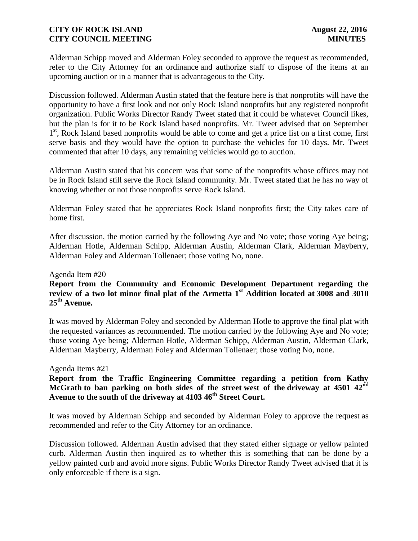Alderman Schipp moved and Alderman Foley seconded to approve the request as recommended, refer to the City Attorney for an ordinance and authorize staff to dispose of the items at an upcoming auction or in a manner that is advantageous to the City.

Discussion followed. Alderman Austin stated that the feature here is that nonprofits will have the opportunity to have a first look and not only Rock Island nonprofits but any registered nonprofit organization. Public Works Director Randy Tweet stated that it could be whatever Council likes, but the plan is for it to be Rock Island based nonprofits. Mr. Tweet advised that on September 1<sup>st</sup>, Rock Island based nonprofits would be able to come and get a price list on a first come, first serve basis and they would have the option to purchase the vehicles for 10 days. Mr. Tweet commented that after 10 days, any remaining vehicles would go to auction.

Alderman Austin stated that his concern was that some of the nonprofits whose offices may not be in Rock Island still serve the Rock Island community. Mr. Tweet stated that he has no way of knowing whether or not those nonprofits serve Rock Island.

Alderman Foley stated that he appreciates Rock Island nonprofits first; the City takes care of home first.

After discussion, the motion carried by the following Aye and No vote; those voting Aye being; Alderman Hotle, Alderman Schipp, Alderman Austin, Alderman Clark, Alderman Mayberry, Alderman Foley and Alderman Tollenaer; those voting No, none.

#### Agenda Item #20

## **Report from the Community and Economic Development Department regarding the review of a two lot minor final plat of the Armetta 1st Addition located at 3008 and 3010 25th Avenue.**

It was moved by Alderman Foley and seconded by Alderman Hotle to approve the final plat with the requested variances as recommended. The motion carried by the following Aye and No vote; those voting Aye being; Alderman Hotle, Alderman Schipp, Alderman Austin, Alderman Clark, Alderman Mayberry, Alderman Foley and Alderman Tollenaer; those voting No, none.

#### Agenda Items #21

## **Report from the Traffic Engineering Committee regarding a petition from Kathy McGrath to ban parking on both sides of the street west of the driveway at 4501 42nd Avenue to the south of the driveway at 4103 46th Street Court.**

It was moved by Alderman Schipp and seconded by Alderman Foley to approve the request as recommended and refer to the City Attorney for an ordinance.

Discussion followed. Alderman Austin advised that they stated either signage or yellow painted curb. Alderman Austin then inquired as to whether this is something that can be done by a yellow painted curb and avoid more signs. Public Works Director Randy Tweet advised that it is only enforceable if there is a sign.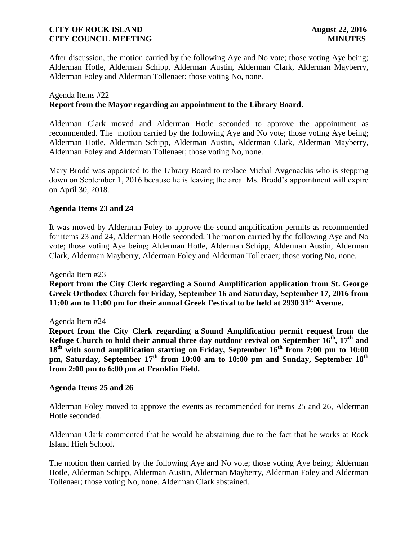After discussion, the motion carried by the following Aye and No vote; those voting Aye being; Alderman Hotle, Alderman Schipp, Alderman Austin, Alderman Clark, Alderman Mayberry, Alderman Foley and Alderman Tollenaer; those voting No, none.

#### Agenda Items #22

### **Report from the Mayor regarding an appointment to the Library Board.**

Alderman Clark moved and Alderman Hotle seconded to approve the appointment as recommended. The motion carried by the following Aye and No vote; those voting Aye being; Alderman Hotle, Alderman Schipp, Alderman Austin, Alderman Clark, Alderman Mayberry, Alderman Foley and Alderman Tollenaer; those voting No, none.

Mary Brodd was appointed to the Library Board to replace Michal Avgenackis who is stepping down on September 1, 2016 because he is leaving the area. Ms. Brodd's appointment will expire on April 30, 2018.

### **Agenda Items 23 and 24**

It was moved by Alderman Foley to approve the sound amplification permits as recommended for items 23 and 24, Alderman Hotle seconded. The motion carried by the following Aye and No vote; those voting Aye being; Alderman Hotle, Alderman Schipp, Alderman Austin, Alderman Clark, Alderman Mayberry, Alderman Foley and Alderman Tollenaer; those voting No, none.

Agenda Item #23

**Report from the City Clerk regarding a Sound Amplification application from St. George Greek Orthodox Church for Friday, September 16 and Saturday, September 17, 2016 from 11:00 am to 11:00 pm for their annual Greek Festival to be held at 2930 31st Avenue.**

#### Agenda Item #24

**Report from the City Clerk regarding a Sound Amplification permit request from the Refuge Church to hold their annual three day outdoor revival on September 16 th , 17th and 18th with sound amplification starting on Friday, September 16th from 7:00 pm to 10:00 pm, Saturday, September 17th from 10:00 am to 10:00 pm and Sunday, September 18th from 2:00 pm to 6:00 pm at Franklin Field.**

#### **Agenda Items 25 and 26**

Alderman Foley moved to approve the events as recommended for items 25 and 26, Alderman Hotle seconded.

Alderman Clark commented that he would be abstaining due to the fact that he works at Rock Island High School.

The motion then carried by the following Aye and No vote; those voting Aye being; Alderman Hotle, Alderman Schipp, Alderman Austin, Alderman Mayberry, Alderman Foley and Alderman Tollenaer; those voting No, none. Alderman Clark abstained.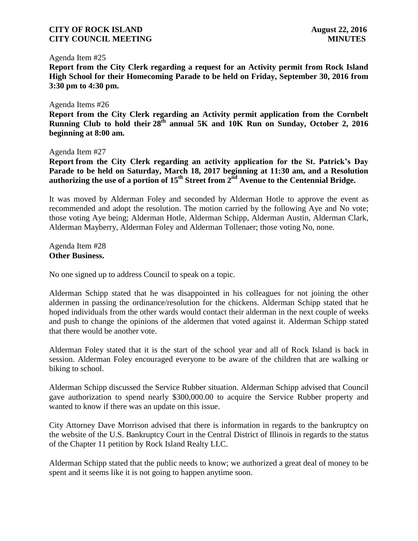#### Agenda Item #25

**Report from the City Clerk regarding a request for an Activity permit from Rock Island High School for their Homecoming Parade to be held on Friday, September 30, 2016 from 3:30 pm to 4:30 pm.**

#### Agenda Items #26

**Report from the City Clerk regarding an Activity permit application from the Cornbelt Running Club to hold their 28th annual 5K and 10K Run on Sunday, October 2, 2016 beginning at 8:00 am.**

#### Agenda Item #27

**Report from the City Clerk regarding an activity application for the St. Patrick's Day Parade to be held on Saturday, March 18, 2017 beginning at 11:30 am, and a Resolution authorizing the use of a portion of 15th Street from 2nd Avenue to the Centennial Bridge.**

It was moved by Alderman Foley and seconded by Alderman Hotle to approve the event as recommended and adopt the resolution. The motion carried by the following Aye and No vote; those voting Aye being; Alderman Hotle, Alderman Schipp, Alderman Austin, Alderman Clark, Alderman Mayberry, Alderman Foley and Alderman Tollenaer; those voting No, none.

Agenda Item #28 **Other Business.**

No one signed up to address Council to speak on a topic.

Alderman Schipp stated that he was disappointed in his colleagues for not joining the other aldermen in passing the ordinance/resolution for the chickens. Alderman Schipp stated that he hoped individuals from the other wards would contact their alderman in the next couple of weeks and push to change the opinions of the aldermen that voted against it. Alderman Schipp stated that there would be another vote.

Alderman Foley stated that it is the start of the school year and all of Rock Island is back in session. Alderman Foley encouraged everyone to be aware of the children that are walking or biking to school.

Alderman Schipp discussed the Service Rubber situation. Alderman Schipp advised that Council gave authorization to spend nearly \$300,000.00 to acquire the Service Rubber property and wanted to know if there was an update on this issue.

City Attorney Dave Morrison advised that there is information in regards to the bankruptcy on the website of the U.S. Bankruptcy Court in the Central District of Illinois in regards to the status of the Chapter 11 petition by Rock Island Realty LLC.

Alderman Schipp stated that the public needs to know; we authorized a great deal of money to be spent and it seems like it is not going to happen anytime soon.